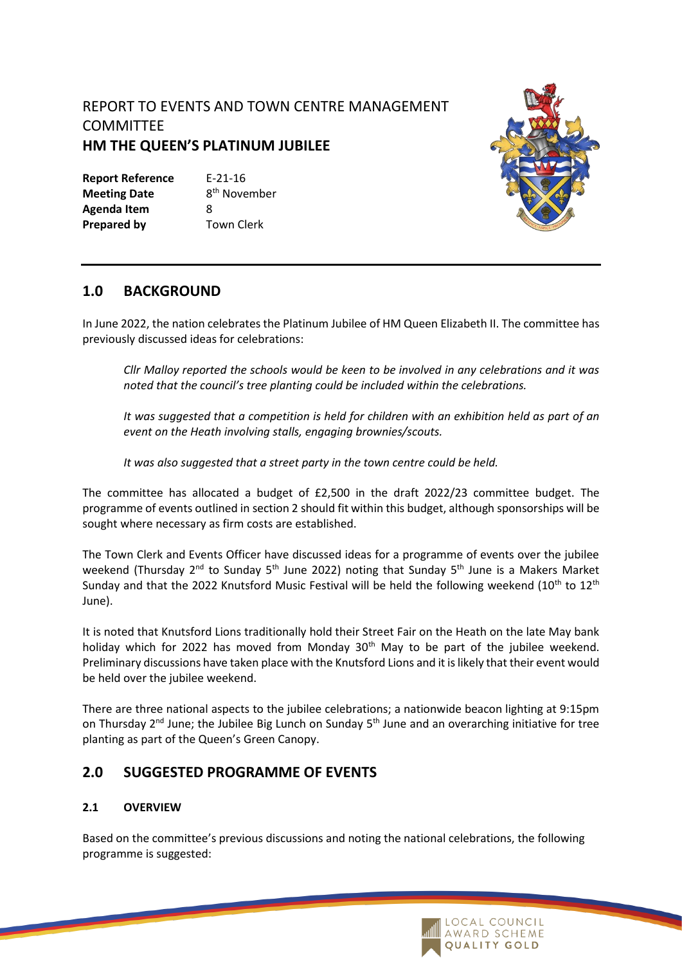## REPORT TO EVENTS AND TOWN CENTRE MANAGEMENT **COMMITTEE HM THE QUEEN'S PLATINUM JUBILEE**

**Report Reference** E-21-16 **Meeting Date Agenda Item** 8 **Prepared by** Town Clerk

8<sup>th</sup> November



### **1.0 BACKGROUND**

In June 2022, the nation celebrates the Platinum Jubilee of HM Queen Elizabeth II. The committee has previously discussed ideas for celebrations:

*Cllr Malloy reported the schools would be keen to be involved in any celebrations and it was noted that the council's tree planting could be included within the celebrations.* 

*It was suggested that a competition is held for children with an exhibition held as part of an event on the Heath involving stalls, engaging brownies/scouts.* 

*It was also suggested that a street party in the town centre could be held.* 

The committee has allocated a budget of £2,500 in the draft 2022/23 committee budget. The programme of events outlined in section 2 should fit within this budget, although sponsorships will be sought where necessary as firm costs are established.

The Town Clerk and Events Officer have discussed ideas for a programme of events over the jubilee weekend (Thursday  $2^{nd}$  to Sunday 5<sup>th</sup> June 2022) noting that Sunday 5<sup>th</sup> June is a Makers Market Sunday and that the 2022 Knutsford Music Festival will be held the following weekend (10<sup>th</sup> to 12<sup>th</sup>) June).

It is noted that Knutsford Lions traditionally hold their Street Fair on the Heath on the late May bank holiday which for 2022 has moved from Monday 30<sup>th</sup> May to be part of the jubilee weekend. Preliminary discussions have taken place with the Knutsford Lions and it is likely that their event would be held over the jubilee weekend.

There are three national aspects to the jubilee celebrations; a nationwide beacon lighting at 9:15pm on Thursday  $2^{nd}$  June; the Jubilee Big Lunch on Sunday  $5^{th}$  June and an overarching initiative for tree planting as part of the Queen's Green Canopy.

## **2.0 SUGGESTED PROGRAMME OF EVENTS**

### **2.1 OVERVIEW**

Based on the committee's previous discussions and noting the national celebrations, the following programme is suggested:

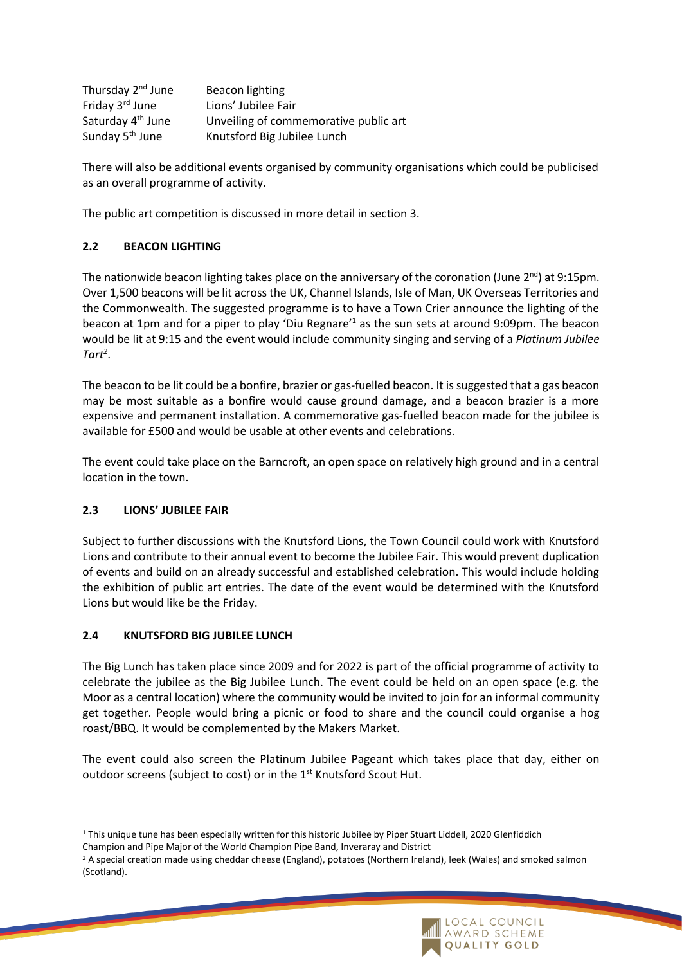| Thursday 2 <sup>nd</sup> June | Beacon lighting                       |
|-------------------------------|---------------------------------------|
| Friday 3 <sup>rd</sup> June   | Lions' Jubilee Fair                   |
| Saturday 4 <sup>th</sup> June | Unveiling of commemorative public art |
| Sunday 5 <sup>th</sup> June   | Knutsford Big Jubilee Lunch           |

There will also be additional events organised by community organisations which could be publicised as an overall programme of activity.

The public art competition is discussed in more detail in section 3.

### **2.2 BEACON LIGHTING**

The nationwide beacon lighting takes place on the anniversary of the coronation (June 2<sup>nd</sup>) at 9:15pm. Over 1,500 beacons will be lit across the UK, Channel Islands, Isle of Man, UK Overseas Territories and the Commonwealth. The suggested programme is to have a Town Crier announce the lighting of the beacon at 1pm and for a piper to play 'Diu Regnare'<sup>1</sup> as the sun sets at around 9:09pm. The beacon would be lit at 9:15 and the event would include community singing and serving of a *Platinum Jubilee Tart<sup>2</sup>* .

The beacon to be lit could be a bonfire, brazier or gas-fuelled beacon. It is suggested that a gas beacon may be most suitable as a bonfire would cause ground damage, and a beacon brazier is a more expensive and permanent installation. A commemorative gas-fuelled beacon made for the jubilee is available for £500 and would be usable at other events and celebrations.

The event could take place on the Barncroft, an open space on relatively high ground and in a central location in the town.

### **2.3 LIONS' JUBILEE FAIR**

Subject to further discussions with the Knutsford Lions, the Town Council could work with Knutsford Lions and contribute to their annual event to become the Jubilee Fair. This would prevent duplication of events and build on an already successful and established celebration. This would include holding the exhibition of public art entries. The date of the event would be determined with the Knutsford Lions but would like be the Friday.

### **2.4 KNUTSFORD BIG JUBILEE LUNCH**

The Big Lunch has taken place since 2009 and for 2022 is part of the official programme of activity to celebrate the jubilee as the Big Jubilee Lunch. The event could be held on an open space (e.g. the Moor as a central location) where the community would be invited to join for an informal community get together. People would bring a picnic or food to share and the council could organise a hog roast/BBQ. It would be complemented by the Makers Market.

The event could also screen the Platinum Jubilee Pageant which takes place that day, either on outdoor screens (subject to cost) or in the 1<sup>st</sup> Knutsford Scout Hut.

<sup>&</sup>lt;sup>2</sup> A special creation made using cheddar cheese (England), potatoes (Northern Ireland), leek (Wales) and smoked salmon (Scotland).



<sup>1</sup> This unique tune has been especially written for this historic Jubilee by Piper Stuart Liddell, 2020 Glenfiddich

Champion and Pipe Major of the World Champion Pipe Band, Inveraray and District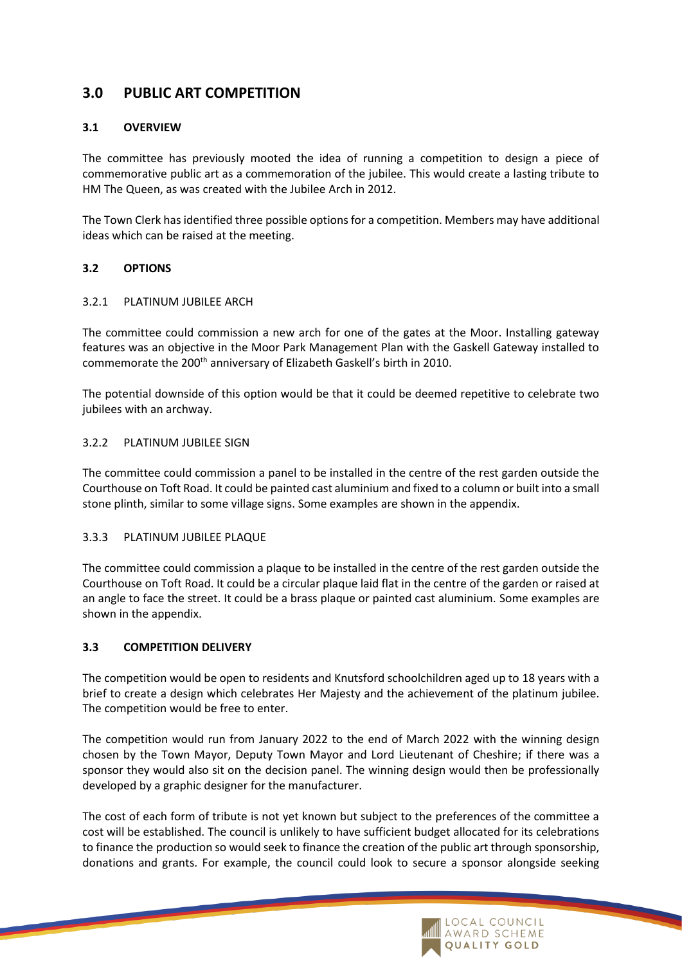### **3.0 PUBLIC ART COMPETITION**

### **3.1 OVERVIEW**

The committee has previously mooted the idea of running a competition to design a piece of commemorative public art as a commemoration of the jubilee. This would create a lasting tribute to HM The Queen, as was created with the Jubilee Arch in 2012.

The Town Clerk has identified three possible options for a competition. Members may have additional ideas which can be raised at the meeting.

### **3.2 OPTIONS**

#### 3.2.1 PLATINUM JUBILEE ARCH

The committee could commission a new arch for one of the gates at the Moor. Installing gateway features was an objective in the Moor Park Management Plan with the Gaskell Gateway installed to commemorate the 200th anniversary of Elizabeth Gaskell's birth in 2010.

The potential downside of this option would be that it could be deemed repetitive to celebrate two jubilees with an archway.

#### 3.2.2 PLATINUM JUBILEE SIGN

The committee could commission a panel to be installed in the centre of the rest garden outside the Courthouse on Toft Road. It could be painted cast aluminium and fixed to a column or built into a small stone plinth, similar to some village signs. Some examples are shown in the appendix.

#### 3.3.3 PLATINUM JUBILEE PLAQUE

The committee could commission a plaque to be installed in the centre of the rest garden outside the Courthouse on Toft Road. It could be a circular plaque laid flat in the centre of the garden or raised at an angle to face the street. It could be a brass plaque or painted cast aluminium. Some examples are shown in the appendix.

### **3.3 COMPETITION DELIVERY**

The competition would be open to residents and Knutsford schoolchildren aged up to 18 years with a brief to create a design which celebrates Her Majesty and the achievement of the platinum jubilee. The competition would be free to enter.

The competition would run from January 2022 to the end of March 2022 with the winning design chosen by the Town Mayor, Deputy Town Mayor and Lord Lieutenant of Cheshire; if there was a sponsor they would also sit on the decision panel. The winning design would then be professionally developed by a graphic designer for the manufacturer.

The cost of each form of tribute is not yet known but subject to the preferences of the committee a cost will be established. The council is unlikely to have sufficient budget allocated for its celebrations to finance the production so would seek to finance the creation of the public art through sponsorship, donations and grants. For example, the council could look to secure a sponsor alongside seeking

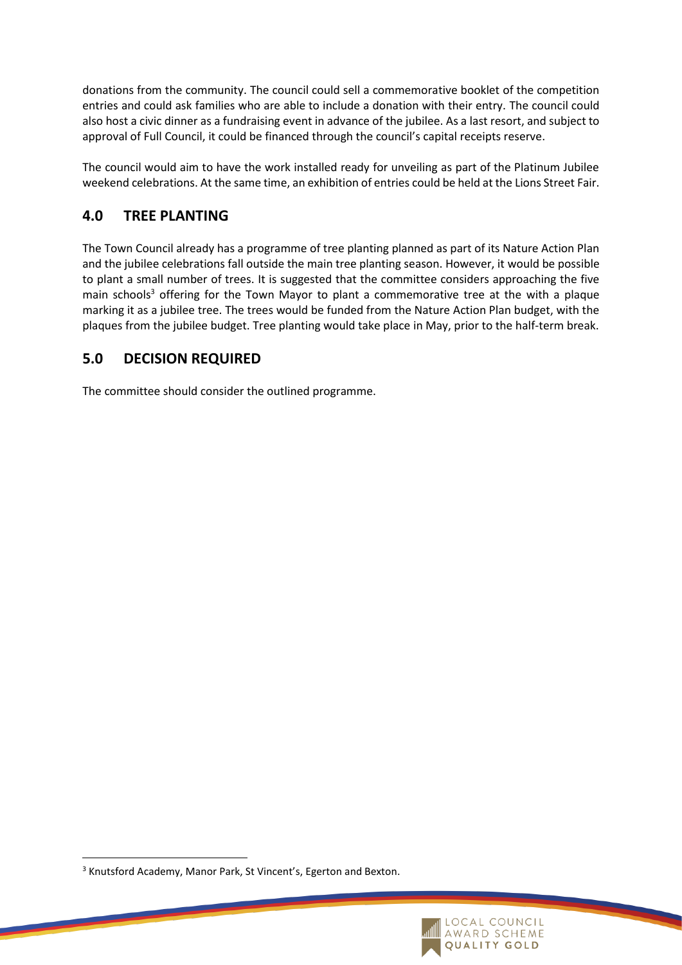donations from the community. The council could sell a commemorative booklet of the competition entries and could ask families who are able to include a donation with their entry. The council could also host a civic dinner as a fundraising event in advance of the jubilee. As a last resort, and subject to approval of Full Council, it could be financed through the council's capital receipts reserve.

The council would aim to have the work installed ready for unveiling as part of the Platinum Jubilee weekend celebrations. At the same time, an exhibition of entries could be held at the Lions Street Fair.

## **4.0 TREE PLANTING**

The Town Council already has a programme of tree planting planned as part of its Nature Action Plan and the jubilee celebrations fall outside the main tree planting season. However, it would be possible to plant a small number of trees. It is suggested that the committee considers approaching the five main schools<sup>3</sup> offering for the Town Mayor to plant a commemorative tree at the with a plaque marking it as a jubilee tree. The trees would be funded from the Nature Action Plan budget, with the plaques from the jubilee budget. Tree planting would take place in May, prior to the half-term break.

# **5.0 DECISION REQUIRED**

The committee should consider the outlined programme.

<sup>&</sup>lt;sup>3</sup> Knutsford Academy, Manor Park, St Vincent's, Egerton and Bexton.

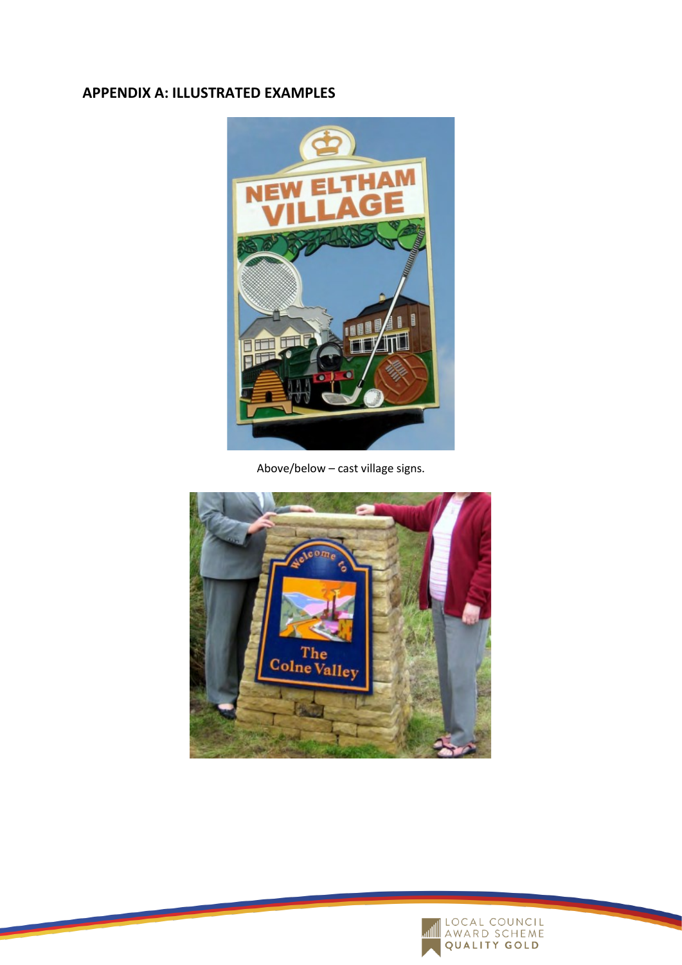# **APPENDIX A: ILLUSTRATED EXAMPLES**



Above/below – cast village signs.